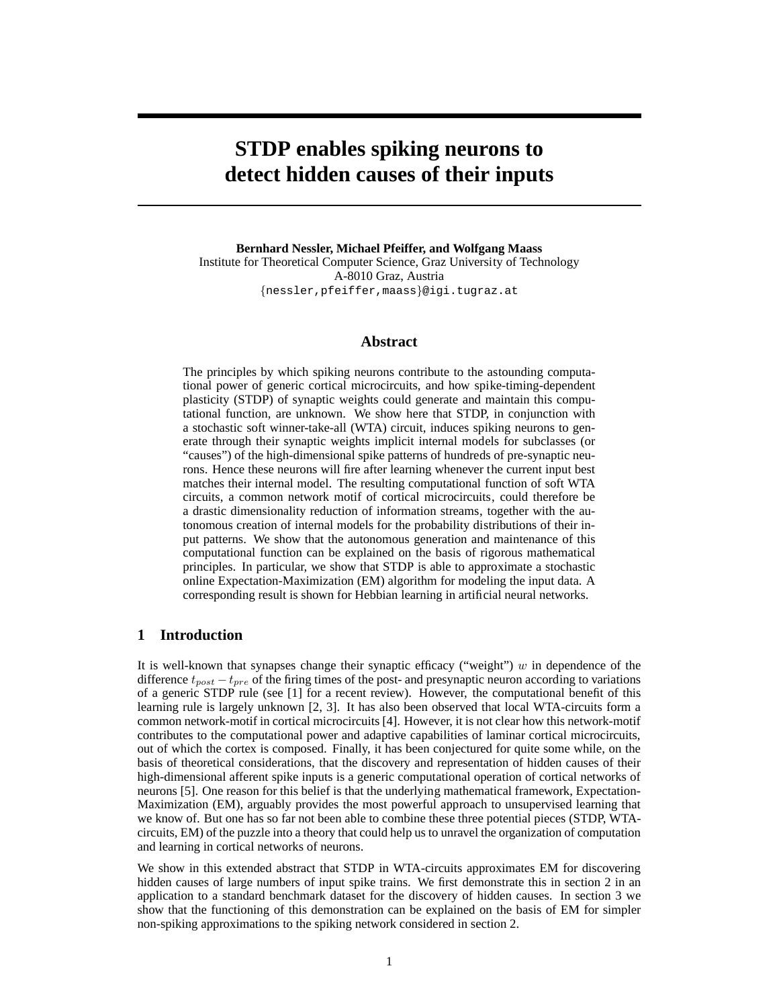# **STDP enables spiking neurons to detect hidden causes of their inputs**

**Bernhard Nessler, Michael Pfeiffer, and Wolfgang Maass** Institute for Theoretical Computer Science, Graz University of Technology A-8010 Graz, Austria {nessler,pfeiffer,maass}@igi.tugraz.at

## **Abstract**

The principles by which spiking neurons contribute to the astounding computational power of generic cortical microcircuits, and how spike-timing-dependent plasticity (STDP) of synaptic weights could generate and maintain this computational function, are unknown. We show here that STDP, in conjunction with a stochastic soft winner-take-all (WTA) circuit, induces spiking neurons to generate through their synaptic weights implicit internal models for subclasses (or "causes") of the high-dimensional spike patterns of hundreds of pre-synaptic neurons. Hence these neurons will fire after learning whenever the current input best matches their internal model. The resulting computational function of soft WTA circuits, a common network motif of cortical microcircuits, could therefore be a drastic dimensionality reduction of information streams, together with the autonomous creation of internal models for the probability distributions of their input patterns. We show that the autonomous generation and maintenance of this computational function can be explained on the basis of rigorous mathematical principles. In particular, we show that STDP is able to approximate a stochastic online Expectation-Maximization (EM) algorithm for modeling the input data. A corresponding result is shown for Hebbian learning in artificial neural networks.

## **1 Introduction**

It is well-known that synapses change their synaptic efficacy ("weight")  $w$  in dependence of the difference  $t_{post} - t_{pre}$  of the firing times of the post- and presynaptic neuron according to variations of a generic STDP rule (see [1] for a recent review). However, the computational benefit of this learning rule is largely unknown [2, 3]. It has also been observed that local WTA-circuits form a common network-motif in cortical microcircuits [4]. However, it is not clear how this network-motif contributes to the computational power and adaptive capabilities of laminar cortical microcircuits, out of which the cortex is composed. Finally, it has been conjectured for quite some while, on the basis of theoretical considerations, that the discovery and representation of hidden causes of their high-dimensional afferent spike inputs is a generic computational operation of cortical networks of neurons [5]. One reason for this belief is that the underlying mathematical framework, Expectation-Maximization (EM), arguably provides the most powerful approach to unsupervised learning that we know of. But one has so far not been able to combine these three potential pieces (STDP, WTAcircuits, EM) of the puzzle into a theory that could help us to unravel the organization of computation and learning in cortical networks of neurons.

We show in this extended abstract that STDP in WTA-circuits approximates EM for discovering hidden causes of large numbers of input spike trains. We first demonstrate this in section 2 in an application to a standard benchmark dataset for the discovery of hidden causes. In section 3 we show that the functioning of this demonstration can be explained on the basis of EM for simpler non-spiking approximations to the spiking network considered in section 2.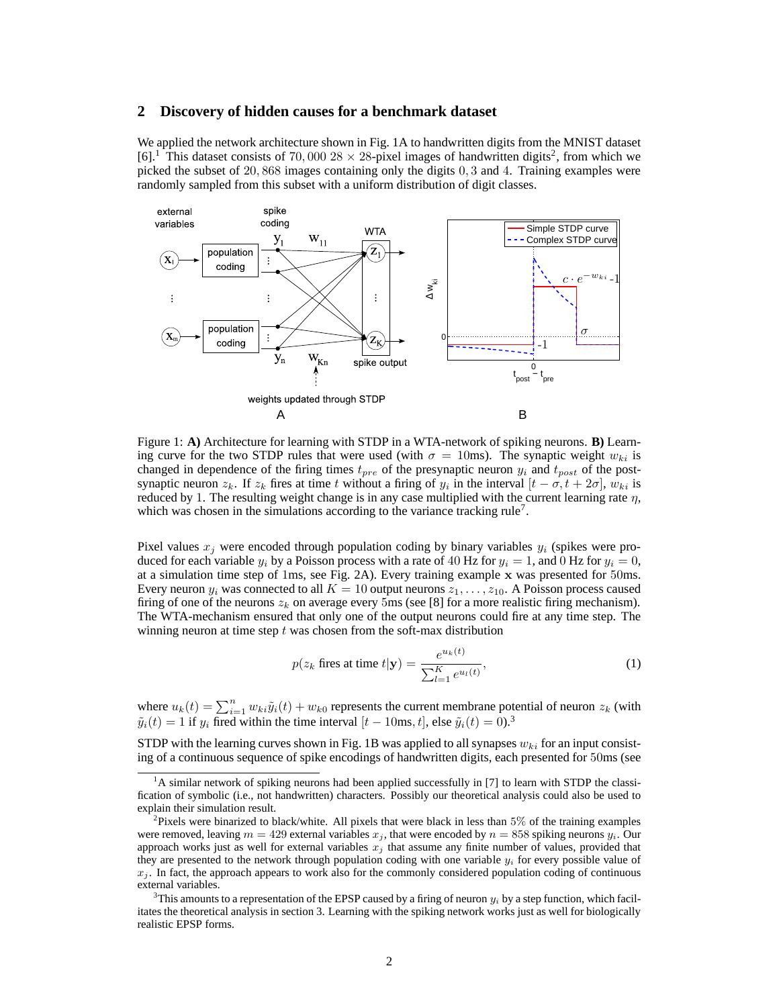## **2 Discovery of hidden causes for a benchmark dataset**

We applied the network architecture shown in Fig. 1A to handwritten digits from the MNIST dataset [6].<sup>1</sup> This dataset consists of 70,000 28  $\times$  28-pixel images of handwritten digits<sup>2</sup>, from which we picked the subset of 20, 868 images containing only the digits 0, 3 and 4. Training examples were randomly sampled from this subset with a uniform distribution of digit classes.



Figure 1: **A)** Architecture for learning with STDP in a WTA-network of spiking neurons. **B)** Learning curve for the two STDP rules that were used (with  $\sigma = 10$ ms). The synaptic weight  $w_{ki}$  is changed in dependence of the firing times  $t_{pre}$  of the presynaptic neuron  $y_i$  and  $t_{post}$  of the postsynaptic neuron  $z_k$ . If  $z_k$  fires at time t without a firing of  $y_i$  in the interval  $[t - \sigma, t + 2\sigma]$ ,  $w_{ki}$  is reduced by 1. The resulting weight change is in any case multiplied with the current learning rate  $\eta$ , which was chosen in the simulations according to the variance tracking rule<sup>7</sup>.

Pixel values  $x_j$  were encoded through population coding by binary variables  $y_i$  (spikes were produced for each variable  $y_i$  by a Poisson process with a rate of 40 Hz for  $y_i = 1$ , and 0 Hz for  $y_i = 0$ , at a simulation time step of 1ms, see Fig. 2A). Every training example x was presented for 50ms. Every neuron  $y_i$  was connected to all  $K = 10$  output neurons  $z_1, \ldots, z_{10}$ . A Poisson process caused firing of one of the neurons  $z_k$  on average every 5ms (see [8] for a more realistic firing mechanism). The WTA-mechanism ensured that only one of the output neurons could fire at any time step. The winning neuron at time step  $t$  was chosen from the soft-max distribution

$$
p(z_k \text{ fires at time } t | \mathbf{y}) = \frac{e^{u_k(t)}}{\sum_{l=1}^K e^{u_l(t)}},\tag{1}
$$

where  $u_k(t) = \sum_{i=1}^n w_{ki} \tilde{y}_i(t) + w_{k0}$  represents the current membrane potential of neuron  $z_k$  (with  $\tilde{y}_i(t) = 1$  if  $y_i$  fired within the time interval  $[t - 10\text{ms}, t]$ , else  $\tilde{y}_i(t) = 0$ .<sup>3</sup>

STDP with the learning curves shown in Fig. 1B was applied to all synapses  $w_{ki}$  for an input consisting of a continuous sequence of spike encodings of handwritten digits, each presented for 50ms (see

<sup>&</sup>lt;sup>1</sup>A similar network of spiking neurons had been applied successfully in [7] to learn with STDP the classification of symbolic (i.e., not handwritten) characters. Possibly our theoretical analysis could also be used to explain their simulation result.

<sup>&</sup>lt;sup>2</sup>Pixels were binarized to black/white. All pixels that were black in less than  $5\%$  of the training examples were removed, leaving  $m = 429$  external variables  $x_j$ , that were encoded by  $n = 858$  spiking neurons  $y_i$ . Our approach works just as well for external variables  $x_j$  that assume any finite number of values, provided that they are presented to the network through population coding with one variable  $y_i$  for every possible value of  $x_j$ . In fact, the approach appears to work also for the commonly considered population coding of continuous external variables.

<sup>&</sup>lt;sup>3</sup>This amounts to a representation of the EPSP caused by a firing of neuron  $y_i$  by a step function, which facilitates the theoretical analysis in section 3. Learning with the spiking network works just as well for biologically realistic EPSP forms.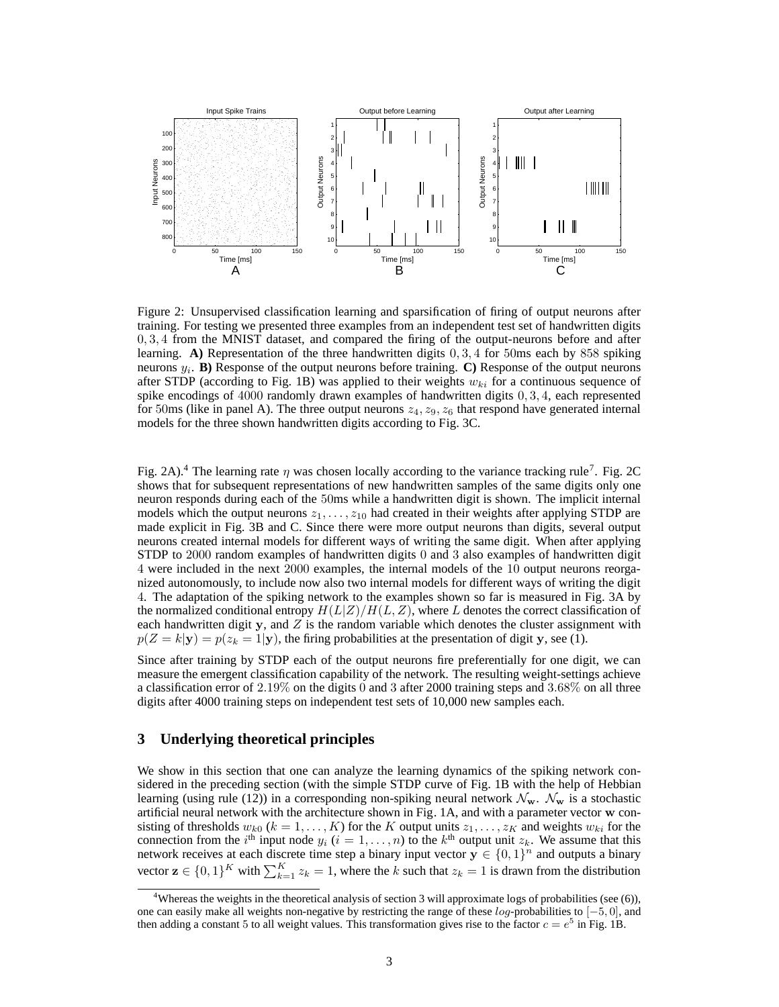

Figure 2: Unsupervised classification learning and sparsification of firing of output neurons after training. For testing we presented three examples from an independent test set of handwritten digits 0, 3, 4 from the MNIST dataset, and compared the firing of the output-neurons before and after learning. **A)** Representation of the three handwritten digits 0, 3, 4 for 50ms each by 858 spiking neurons  $y_i$ . **B**) Response of the output neurons before training. **C**) Response of the output neurons after STDP (according to Fig. 1B) was applied to their weights  $w_{ki}$  for a continuous sequence of spike encodings of  $4000$  randomly drawn examples of handwritten digits  $0, 3, 4$ , each represented for 50ms (like in panel A). The three output neurons  $z_4$ ,  $z_9$ ,  $z_6$  that respond have generated internal models for the three shown handwritten digits according to Fig. 3C.

Fig. 2A).<sup>4</sup> The learning rate  $\eta$  was chosen locally according to the variance tracking rule<sup>7</sup>. Fig. 2C shows that for subsequent representations of new handwritten samples of the same digits only one neuron responds during each of the 50ms while a handwritten digit is shown. The implicit internal models which the output neurons  $z_1, \ldots, z_{10}$  had created in their weights after applying STDP are made explicit in Fig. 3B and C. Since there were more output neurons than digits, several output neurons created internal models for different ways of writing the same digit. When after applying STDP to 2000 random examples of handwritten digits 0 and 3 also examples of handwritten digit 4 were included in the next 2000 examples, the internal models of the 10 output neurons reorganized autonomously, to include now also two internal models for different ways of writing the digit 4. The adaptation of the spiking network to the examples shown so far is measured in Fig. 3A by the normalized conditional entropy  $H(L|Z)/H(L, Z)$ , where L denotes the correct classification of each handwritten digit y, and  $Z$  is the random variable which denotes the cluster assignment with  $p(Z = k|\mathbf{y}) = p(z_k = 1|\mathbf{y})$ , the firing probabilities at the presentation of digit y, see (1).

Since after training by STDP each of the output neurons fire preferentially for one digit, we can measure the emergent classification capability of the network. The resulting weight-settings achieve a classification error of 2.19% on the digits 0 and 3 after 2000 training steps and 3.68% on all three digits after 4000 training steps on independent test sets of 10,000 new samples each.

## **3 Underlying theoretical principles**

We show in this section that one can analyze the learning dynamics of the spiking network considered in the preceding section (with the simple STDP curve of Fig. 1B with the help of Hebbian learning (using rule (12)) in a corresponding non-spiking neural network  $\mathcal{N}_{w}$ .  $\mathcal{N}_{w}$  is a stochastic artificial neural network with the architecture shown in Fig. 1A, and with a parameter vector w consisting of thresholds  $w_{k0}$  ( $k = 1, \ldots, K$ ) for the K output units  $z_1, \ldots, z_K$  and weights  $w_{ki}$  for the connection from the i<sup>th</sup> input node  $y_i$  ( $i = 1, ..., n$ ) to the  $k^{\text{th}}$  output unit  $z_k$ . We assume that this network receives at each discrete time step a binary input vector  $y \in \{0,1\}^n$  and outputs a binary vector  $\mathbf{z} \in \{0,1\}^K$  with  $\sum_{k=1}^K z_k = 1$ , where the k such that  $z_k = 1$  is drawn from the distribution

<sup>&</sup>lt;sup>4</sup>Whereas the weights in the theoretical analysis of section 3 will approximate logs of probabilities (see  $(6)$ ), one can easily make all weights non-negative by restricting the range of these log-probabilities to  $[-5, 0]$ , and then adding a constant 5 to all weight values. This transformation gives rise to the factor  $c = e^5$  in Fig. 1B.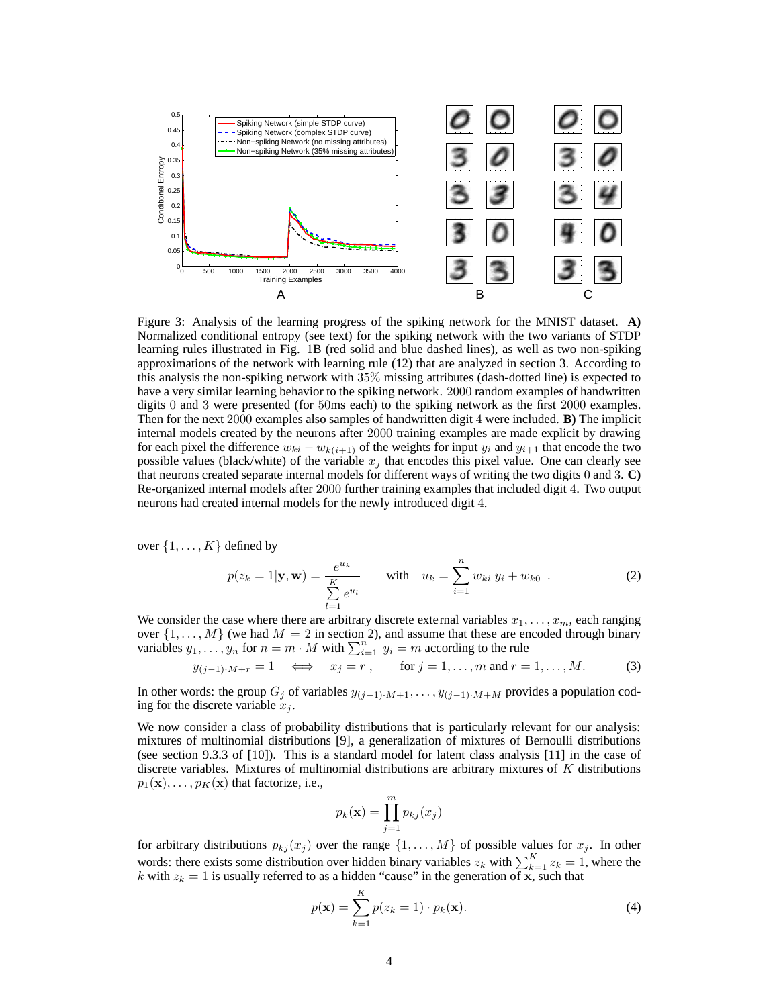

Figure 3: Analysis of the learning progress of the spiking network for the MNIST dataset. **A)** Normalized conditional entropy (see text) for the spiking network with the two variants of STDP learning rules illustrated in Fig. 1B (red solid and blue dashed lines), as well as two non-spiking approximations of the network with learning rule (12) that are analyzed in section 3. According to this analysis the non-spiking network with 35% missing attributes (dash-dotted line) is expected to have a very similar learning behavior to the spiking network. 2000 random examples of handwritten digits 0 and 3 were presented (for 50ms each) to the spiking network as the first 2000 examples. Then for the next 2000 examples also samples of handwritten digit 4 were included. **B)** The implicit internal models created by the neurons after 2000 training examples are made explicit by drawing for each pixel the difference  $w_{ki} - w_{k(i+1)}$  of the weights for input  $y_i$  and  $y_{i+1}$  that encode the two possible values (black/white) of the variable  $x_j$  that encodes this pixel value. One can clearly see that neurons created separate internal models for different ways of writing the two digits 0 and 3. **C)** Re-organized internal models after 2000 further training examples that included digit 4. Two output neurons had created internal models for the newly introduced digit 4.

over  $\{1, \ldots, K\}$  defined by

$$
p(z_k = 1 | \mathbf{y}, \mathbf{w}) = \frac{e^{u_k}}{\sum_{l=1}^{K} e^{u_l}} \quad \text{with} \quad u_k = \sum_{i=1}^{n} w_{ki} \ y_i + w_{k0} \ . \tag{2}
$$

We consider the case where there are arbitrary discrete external variables  $x_1, \ldots, x_m$ , each ranging over  $\{1, \ldots, M\}$  (we had  $M = 2$  in section 2), and assume that these are encoded through binary variables  $y_1, \ldots, y_n$  for  $n = m \cdot M$  with  $\sum_{i=1}^{n} y_i = m$  according to the rule

$$
y_{(j-1)\cdot M+r} = 1 \iff x_j = r
$$
, for  $j = 1, ..., m$  and  $r = 1, ..., M$ . (3)

In other words: the group  $G_j$  of variables  $y_{(j-1)\cdot M+1}, \ldots, y_{(j-1)\cdot M+M}$  provides a population coding for the discrete variable  $x_j$ .

We now consider a class of probability distributions that is particularly relevant for our analysis: mixtures of multinomial distributions [9], a generalization of mixtures of Bernoulli distributions (see section 9.3.3 of [10]). This is a standard model for latent class analysis [11] in the case of discrete variables. Mixtures of multinomial distributions are arbitrary mixtures of  $K$  distributions  $p_1(\mathbf{x}), \ldots, p_K(\mathbf{x})$  that factorize, i.e.,

$$
p_k(\mathbf{x}) = \prod_{j=1}^m p_{kj}(x_j)
$$

for arbitrary distributions  $p_{kj}(x_j)$  over the range  $\{1, \ldots, M\}$  of possible values for  $x_j$ . In other words: there exists some distribution over hidden binary variables  $z_k$  with  $\sum_{k=1}^{K} z_k = 1$ , where the k with  $z_k = 1$  is usually referred to as a hidden "cause" in the generation of x, such that

$$
p(\mathbf{x}) = \sum_{k=1}^{K} p(z_k = 1) \cdot p_k(\mathbf{x}).
$$
\n(4)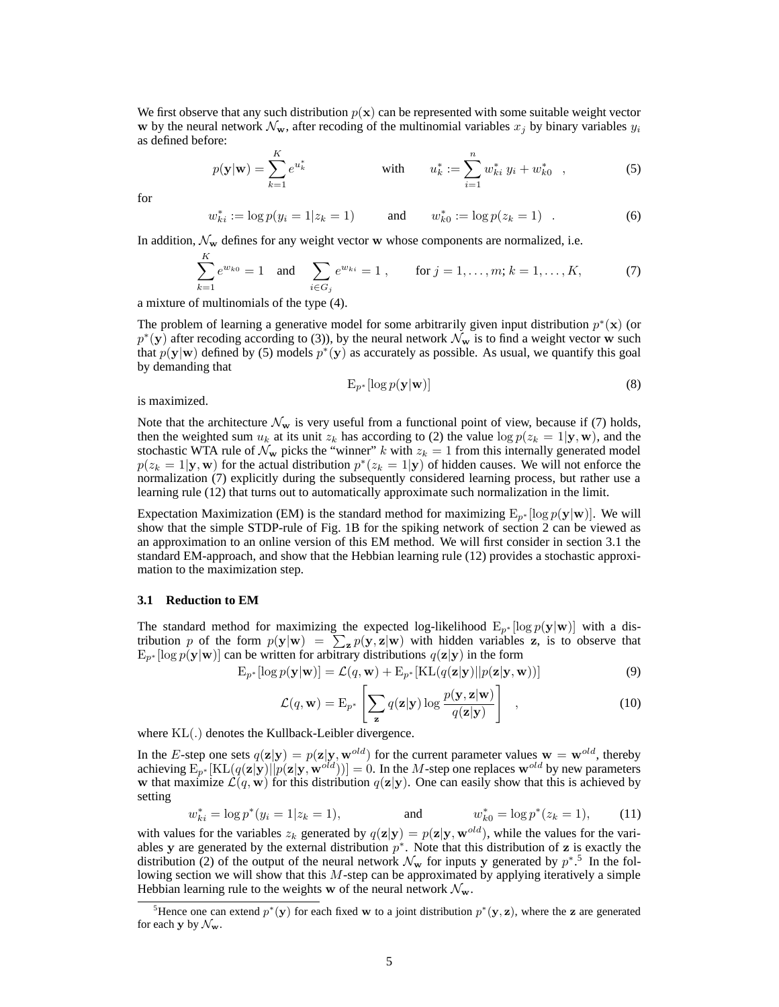We first observe that any such distribution  $p(x)$  can be represented with some suitable weight vector w by the neural network  $\mathcal{N}_{\mathbf{w}}$ , after recoding of the multinomial variables  $x_i$  by binary variables  $y_i$ as defined before:

$$
p(\mathbf{y}|\mathbf{w}) = \sum_{k=1}^{K} e^{u_k^*} \qquad \text{with} \qquad u_k^* := \sum_{i=1}^{n} w_{ki}^* y_i + w_{k0}^* \quad , \tag{5}
$$

for

$$
w_{ki}^* := \log p(y_i = 1 | z_k = 1)
$$
 and  $w_{k0}^* := \log p(z_k = 1)$ . (6)

In addition,  $\mathcal{N}_{\mathbf{w}}$  defines for any weight vector w whose components are normalized, i.e.

$$
\sum_{k=1}^{K} e^{w_{k0}} = 1 \quad \text{and} \quad \sum_{i \in G_j} e^{w_{ki}} = 1 \,, \qquad \text{for } j = 1, \dots, m; k = 1, \dots, K,
$$
 (7)

a mixture of multinomials of the type (4).

The problem of learning a generative model for some arbitrarily given input distribution  $p^*(\mathbf{x})$  (or  $p^*(y)$  after recoding according to (3)), by the neural network  $\tilde{\mathcal{N}_{w}}$  is to find a weight vector w such that  $p(y|w)$  defined by (5) models  $p^*(y)$  as accurately as possible. As usual, we quantify this goal by demanding that

$$
E_{p^*}[\log p(\mathbf{y}|\mathbf{w})]
$$
 (8)

is maximized.

Note that the architecture  $\mathcal{N}_{\mathbf{w}}$  is very useful from a functional point of view, because if (7) holds, then the weighted sum  $u_k$  at its unit  $z_k$  has according to (2) the value  $\log p(z_k = 1 | \mathbf{y}, \mathbf{w})$ , and the stochastic WTA rule of  $\mathcal{N}_{\mathbf{w}}$  picks the "winner" k with  $z_k = 1$  from this internally generated model  $p(z_k = 1 | \mathbf{y}, \mathbf{w})$  for the actual distribution  $p^*(z_k = 1 | \mathbf{y})$  of hidden causes. We will not enforce the normalization (7) explicitly during the subsequently considered learning process, but rather use a learning rule (12) that turns out to automatically approximate such normalization in the limit.

Expectation Maximization (EM) is the standard method for maximizing  $E_{p*}$  [log  $p(y|w)$ ]. We will show that the simple STDP-rule of Fig. 1B for the spiking network of section 2 can be viewed as an approximation to an online version of this EM method. We will first consider in section 3.1 the standard EM-approach, and show that the Hebbian learning rule (12) provides a stochastic approximation to the maximization step.

#### **3.1 Reduction to EM**

The standard method for maximizing the expected log-likelihood  $E_{p*}$ [log  $p(y|w)$ ] with a distribution p of the form  $p(y|w) = \sum_{z} p(y, z|w)$  with hidden variables z, is to observe that  $E_{p^*}$ [log  $p(y|\mathbf{w})$ ] can be written for arbitrary distributions  $q(\mathbf{z}|\mathbf{y})$  in the form

$$
E_{p^*}[\log p(\mathbf{y}|\mathbf{w})] = \mathcal{L}(q, \mathbf{w}) + E_{p^*}[\text{KL}(q(\mathbf{z}|\mathbf{y})||p(\mathbf{z}|\mathbf{y}, \mathbf{w}))]
$$
(9)

$$
\mathcal{L}(q, \mathbf{w}) = \mathbf{E}_{p^*} \left[ \sum_{\mathbf{z}} q(\mathbf{z}|\mathbf{y}) \log \frac{p(\mathbf{y}, \mathbf{z}|\mathbf{w})}{q(\mathbf{z}|\mathbf{y})} \right], \qquad (10)
$$

where KL(.) denotes the Kullback-Leibler divergence.

In the E-step one sets  $q(\mathbf{z}|\mathbf{y}) = p(\mathbf{z}|\mathbf{y}, \mathbf{w}^{old})$  for the current parameter values  $\mathbf{w} = \mathbf{w}^{old}$ , thereby achieving  $E_{p^*}[\text{KL}(q(\mathbf{z}|\mathbf{y})||p(\mathbf{z}|\mathbf{y}, \mathbf{w}^{old}))] = 0$ . In the M-step one replaces  $\mathbf{w}^{old}$  by new parameters w that maximize  $\mathcal{L}(q, \mathbf{w})$  for this distribution  $q(\mathbf{z}|\mathbf{y})$ . One can easily show that this is achieved by setting

$$
w_{ki}^* = \log p^*(y_i = 1 | z_k = 1), \qquad \text{and} \qquad w_{k0}^* = \log p^*(z_k = 1), \qquad (11)
$$

with values for the variables  $z_k$  generated by  $q(\mathbf{z}|\mathbf{y}) = p(\mathbf{z}|\mathbf{y}, \mathbf{w}^{old})$ , while the values for the variables y are generated by the external distribution  $p^*$ . Note that this distribution of z is exactly the distribution (2) of the output of the neural network  $\mathcal{N}_{\mathbf{w}}$  for inputs y generated by  $p^*$ .<sup>5</sup> In the following section we will show that this  $M$ -step can be approximated by applying iteratively a simple Hebbian learning rule to the weights w of the neural network  $\mathcal{N}_{w}$ .

<sup>&</sup>lt;sup>5</sup>Hence one can extend  $p^*(y)$  for each fixed w to a joint distribution  $p^*(y, z)$ , where the z are generated for each y by  $\mathcal{N}_{\mathbf{w}}$ .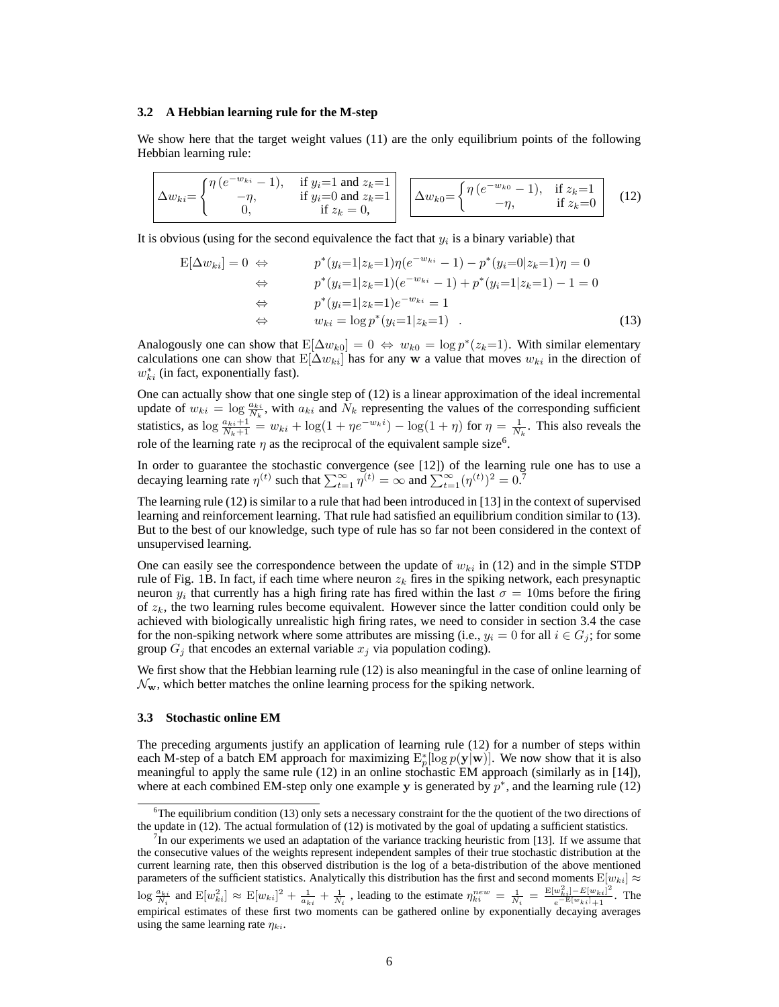#### **3.2 A Hebbian learning rule for the M-step**

We show here that the target weight values (11) are the only equilibrium points of the following Hebbian learning rule:

$$
\Delta w_{ki} = \begin{cases} \eta \left( e^{-w_{ki}} - 1 \right), & \text{if } y_i = 1 \text{ and } z_k = 1 \\ -\eta, & \text{if } y_i = 0 \text{ and } z_k = 1 \\ 0, & \text{if } z_k = 0, \end{cases} \quad \Delta w_{k0} = \begin{cases} \eta \left( e^{-w_{k0}} - 1 \right), & \text{if } z_k = 1 \\ -\eta, & \text{if } z_k = 0 \end{cases} \tag{12}
$$

It is obvious (using for the second equivalence the fact that  $y_i$  is a binary variable) that

$$
E[\Delta w_{ki}] = 0 \Leftrightarrow \qquad p^*(y_i=1|z_k=1)\eta(e^{-w_{ki}}-1) - p^*(y_i=0|z_k=1)\eta = 0
$$
  
\n
$$
\Leftrightarrow \qquad p^*(y_i=1|z_k=1)(e^{-w_{ki}}-1) + p^*(y_i=1|z_k=1) - 1 = 0
$$
  
\n
$$
\Leftrightarrow \qquad p^*(y_i=1|z_k=1)e^{-w_{ki}} = 1
$$
  
\n
$$
\Leftrightarrow \qquad w_{ki} = \log p^*(y_i=1|z_k=1) . \tag{13}
$$

Analogously one can show that  $E[\Delta w_{k0}] = 0 \Leftrightarrow w_{k0} = \log p^*(z_k=1)$ . With similar elementary calculations one can show that  $E[\Delta w_{ki}]$  has for any w a value that moves  $w_{ki}$  in the direction of  $w_{ki}^*$  (in fact, exponentially fast).

One can actually show that one single step of (12) is a linear approximation of the ideal incremental update of  $w_{ki} = \log \frac{a_{ki}}{N_k}$ , with  $a_{ki}$  and  $N_k$  representing the values of the corresponding sufficient statistics, as  $\log \frac{a_{ki}+1}{N_k+1} = w_{ki} + \log(1 + \eta e^{-w_k i}) - \log(1 + \eta)$  for  $\eta = \frac{1}{N_k}$ . This also reveals the role of the learning rate  $\eta$  as the reciprocal of the equivalent sample size<sup>6</sup>.

In order to guarantee the stochastic convergence (see [12]) of the learning rule one has to use a decaying learning rate  $\eta^{(t)}$  such that  $\sum_{t=1}^{\infty} \eta^{(t)} = \infty$  and  $\sum_{t=1}^{\infty} (\eta^{(t)})^2 = 0$ .

The learning rule (12) is similar to a rule that had been introduced in [13] in the context of supervised learning and reinforcement learning. That rule had satisfied an equilibrium condition similar to (13). But to the best of our knowledge, such type of rule has so far not been considered in the context of unsupervised learning.

One can easily see the correspondence between the update of  $w_{ki}$  in (12) and in the simple STDP rule of Fig. 1B. In fact, if each time where neuron  $z_k$  fires in the spiking network, each presynaptic neuron  $y_i$  that currently has a high firing rate has fired within the last  $\sigma = 10$ ms before the firing of  $z_k$ , the two learning rules become equivalent. However since the latter condition could only be achieved with biologically unrealistic high firing rates, we need to consider in section 3.4 the case for the non-spiking network where some attributes are missing (i.e.,  $y_i = 0$  for all  $i \in G_j$ ; for some group  $G_j$  that encodes an external variable  $x_j$  via population coding).

We first show that the Hebbian learning rule (12) is also meaningful in the case of online learning of  $\mathcal{N}_{\mathbf{w}}$ , which better matches the online learning process for the spiking network.

#### **3.3 Stochastic online EM**

The preceding arguments justify an application of learning rule (12) for a number of steps within each M-step of a batch EM approach for maximizing  $E_p^*$ [log  $p(y|w)$ ]. We now show that it is also meaningful to apply the same rule (12) in an online stochastic EM approach (similarly as in [14]), where at each combined EM-step only one example y is generated by  $p^*$ , and the learning rule (12)

 ${}^6$ The equilibrium condition (13) only sets a necessary constraint for the the quotient of the two directions of the update in (12). The actual formulation of (12) is motivated by the goal of updating a sufficient statistics.

 $<sup>7</sup>$ In our experiments we used an adaptation of the variance tracking heuristic from [13]. If we assume that</sup> the consecutive values of the weights represent independent samples of their true stochastic distribution at the current learning rate, then this observed distribution is the log of a beta-distribution of the above mentioned parameters of the sufficient statistics. Analytically this distribution has the first and second moments  $E[w_{ki}] \approx$  $\log \frac{a_{ki}}{N_i}$  and  $\mathbb{E}[w_{ki}^2] \approx \mathbb{E}[w_{ki}]^2 + \frac{1}{a_{ki}} + \frac{1}{N_i}$ , leading to the estimate  $\eta_{ki}^{new} = \frac{1}{N_i} = \frac{\mathbb{E}[w_{ki}^2] - E[w_{ki}]^2}{e^{-\mathbb{E}[w_{ki}^2] + 1}}$  $\frac{w_{ki}-E[w_{ki}]}{e^{-E[w_{ki}]}+1}$ . The empirical estimates of these first two moments can be gathered online by exponentially decaying averages using the same learning rate  $\eta_{ki}$ .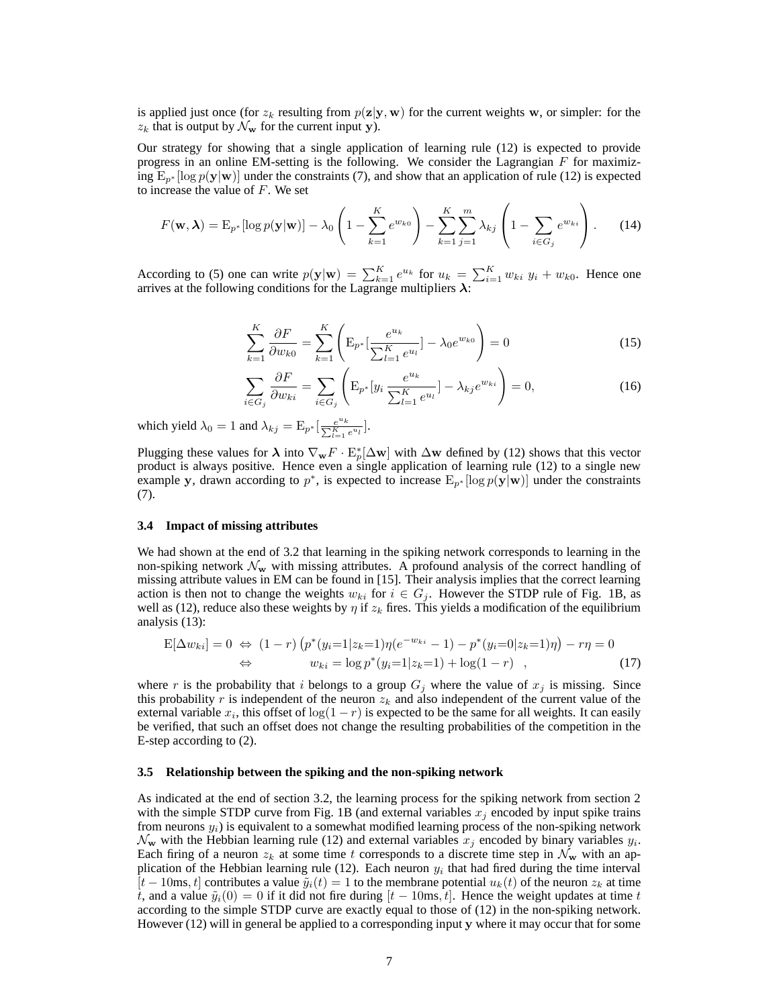is applied just once (for  $z_k$  resulting from  $p(z|y, w)$  for the current weights w, or simpler: for the  $z_k$  that is output by  $\mathcal{N}_{\mathbf{w}}$  for the current input y).

Our strategy for showing that a single application of learning rule (12) is expected to provide progress in an online EM-setting is the following. We consider the Lagrangian  $F$  for maximizing  $E_{p*}$  [log  $p(y|\mathbf{w})$ ] under the constraints (7), and show that an application of rule (12) is expected to increase the value of F. We set

$$
F(\mathbf{w}, \boldsymbol{\lambda}) = \mathbf{E}_{p^*}[\log p(\mathbf{y}|\mathbf{w})] - \lambda_0 \left(1 - \sum_{k=1}^K e^{w_{k0}}\right) - \sum_{k=1}^K \sum_{j=1}^m \lambda_{kj} \left(1 - \sum_{i \in G_j} e^{w_{ki}}\right). \tag{14}
$$

According to (5) one can write  $p(\mathbf{y}|\mathbf{w}) = \sum_{k=1}^{K} e^{u_k}$  for  $u_k = \sum_{i=1}^{K} w_{ki} y_i + w_{k0}$ . Hence one arrives at the following conditions for the Lagrange multipliers  $\lambda$ :

$$
\sum_{k=1}^{K} \frac{\partial F}{\partial w_{k0}} = \sum_{k=1}^{K} \left( \mathbf{E}_{p^*} \left[ \frac{e^{u_k}}{\sum_{l=1}^{K} e^{u_l}} \right] - \lambda_0 e^{w_{k0}} \right) = 0 \tag{15}
$$

$$
\sum_{i \in G_j} \frac{\partial F}{\partial w_{ki}} = \sum_{i \in G_j} \left( E_{p^*} [y_i \frac{e^{u_k}}{\sum_{l=1}^K e^{u_l}}] - \lambda_{kj} e^{w_{ki}} \right) = 0,
$$
\n(16)

which yield  $\lambda_0 = 1$  and  $\lambda_{kj} = E_{p^*} \left[\frac{e^{u_k}}{\sqrt{K}}\right]$  $\frac{e^{u_k}}{\sum_{l=1}^K e^{u_l}}\Big].$ 

Plugging these values for  $\lambda$  into  $\nabla_w F \cdot E_p^*[\Delta w]$  with  $\Delta w$  defined by (12) shows that this vector product is always positive. Hence even a single application of learning rule (12) to a single new example y, drawn according to  $p^*$ , is expected to increase  $E_{p^*}[\log p(y|w)]$  under the constraints (7).

#### **3.4 Impact of missing attributes**

We had shown at the end of 3.2 that learning in the spiking network corresponds to learning in the non-spiking network  $\mathcal{N}_{\mathbf{w}}$  with missing attributes. A profound analysis of the correct handling of missing attribute values in EM can be found in [15]. Their analysis implies that the correct learning action is then not to change the weights  $w_{ki}$  for  $i \in G_j$ . However the STDP rule of Fig. 1B, as well as (12), reduce also these weights by  $\eta$  if  $z_k$  fires. This yields a modification of the equilibrium analysis (13):

$$
E[\Delta w_{ki}] = 0 \Leftrightarrow (1-r) \left( p^*(y_i=1|z_k=1)\eta(e^{-w_{ki}}-1) - p^*(y_i=0|z_k=1)\eta \right) - r\eta = 0
$$
  

$$
\Leftrightarrow \qquad w_{ki} = \log p^*(y_i=1|z_k=1) + \log(1-r) \quad , \tag{17}
$$

where r is the probability that i belongs to a group  $G_j$  where the value of  $x_j$  is missing. Since this probability r is independent of the neuron  $z_k$  and also independent of the current value of the external variable  $x_i$ , this offset of  $\log(1 - r)$  is expected to be the same for all weights. It can easily be verified, that such an offset does not change the resulting probabilities of the competition in the E-step according to (2).

#### **3.5 Relationship between the spiking and the non-spiking network**

As indicated at the end of section 3.2, the learning process for the spiking network from section 2 with the simple STDP curve from Fig. 1B (and external variables  $x_j$  encoded by input spike trains from neurons  $y_i$ ) is equivalent to a somewhat modified learning process of the non-spiking network  $\mathcal{N}_{\mathbf{w}}$  with the Hebbian learning rule (12) and external variables  $x_j$  encoded by binary variables  $y_i$ . Each firing of a neuron  $z_k$  at some time t corresponds to a discrete time step in  $\mathcal{N}_{\mathbf{w}}$  with an application of the Hebbian learning rule (12). Each neuron  $y_i$  that had fired during the time interval  $[t-10\text{ms}, t]$  contributes a value  $\tilde{y}_i(t) = 1$  to the membrane potential  $u_k(t)$  of the neuron  $z_k$  at time t, and a value  $\tilde{y}_i(0) = 0$  if it did not fire during  $[t - 10\text{ms}, t]$ . Hence the weight updates at time t according to the simple STDP curve are exactly equal to those of (12) in the non-spiking network. However (12) will in general be applied to a corresponding input y where it may occur that for some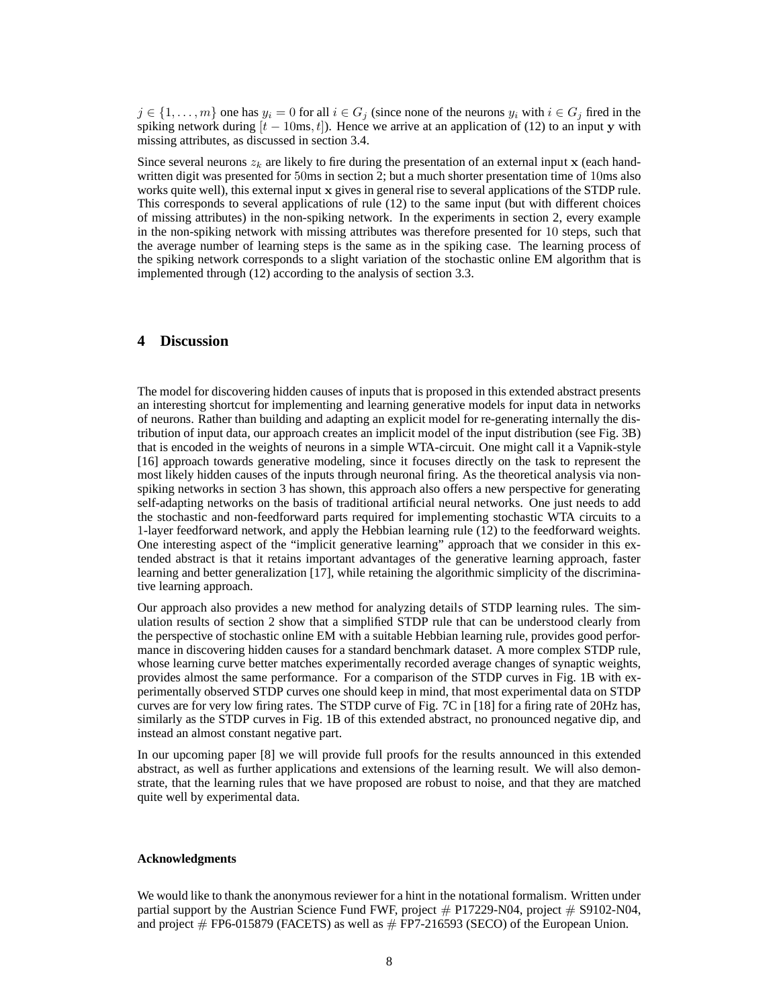$j \in \{1, \ldots, m\}$  one has  $y_i = 0$  for all  $i \in G_j$  (since none of the neurons  $y_i$  with  $i \in G_j$  fired in the spiking network during  $[t - 10ms, t]$ ). Hence we arrive at an application of (12) to an input y with missing attributes, as discussed in section 3.4.

Since several neurons  $z_k$  are likely to fire during the presentation of an external input  $x$  (each handwritten digit was presented for 50ms in section 2; but a much shorter presentation time of 10ms also works quite well), this external input x gives in general rise to several applications of the STDP rule. This corresponds to several applications of rule (12) to the same input (but with different choices of missing attributes) in the non-spiking network. In the experiments in section 2, every example in the non-spiking network with missing attributes was therefore presented for 10 steps, such that the average number of learning steps is the same as in the spiking case. The learning process of the spiking network corresponds to a slight variation of the stochastic online EM algorithm that is implemented through (12) according to the analysis of section 3.3.

## **4 Discussion**

The model for discovering hidden causes of inputs that is proposed in this extended abstract presents an interesting shortcut for implementing and learning generative models for input data in networks of neurons. Rather than building and adapting an explicit model for re-generating internally the distribution of input data, our approach creates an implicit model of the input distribution (see Fig. 3B) that is encoded in the weights of neurons in a simple WTA-circuit. One might call it a Vapnik-style [16] approach towards generative modeling, since it focuses directly on the task to represent the most likely hidden causes of the inputs through neuronal firing. As the theoretical analysis via nonspiking networks in section 3 has shown, this approach also offers a new perspective for generating self-adapting networks on the basis of traditional artificial neural networks. One just needs to add the stochastic and non-feedforward parts required for implementing stochastic WTA circuits to a 1-layer feedforward network, and apply the Hebbian learning rule (12) to the feedforward weights. One interesting aspect of the "implicit generative learning" approach that we consider in this extended abstract is that it retains important advantages of the generative learning approach, faster learning and better generalization [17], while retaining the algorithmic simplicity of the discriminative learning approach.

Our approach also provides a new method for analyzing details of STDP learning rules. The simulation results of section 2 show that a simplified STDP rule that can be understood clearly from the perspective of stochastic online EM with a suitable Hebbian learning rule, provides good performance in discovering hidden causes for a standard benchmark dataset. A more complex STDP rule, whose learning curve better matches experimentally recorded average changes of synaptic weights, provides almost the same performance. For a comparison of the STDP curves in Fig. 1B with experimentally observed STDP curves one should keep in mind, that most experimental data on STDP curves are for very low firing rates. The STDP curve of Fig. 7C in [18] for a firing rate of 20Hz has, similarly as the STDP curves in Fig. 1B of this extended abstract, no pronounced negative dip, and instead an almost constant negative part.

In our upcoming paper [8] we will provide full proofs for the results announced in this extended abstract, as well as further applications and extensions of the learning result. We will also demonstrate, that the learning rules that we have proposed are robust to noise, and that they are matched quite well by experimental data.

### **Acknowledgments**

We would like to thank the anonymous reviewer for a hint in the notational formalism. Written under partial support by the Austrian Science Fund FWF, project  $#$  P17229-N04, project  $#$  S9102-N04, and project  $#$  FP6-015879 (FACETS) as well as  $#$  FP7-216593 (SECO) of the European Union.